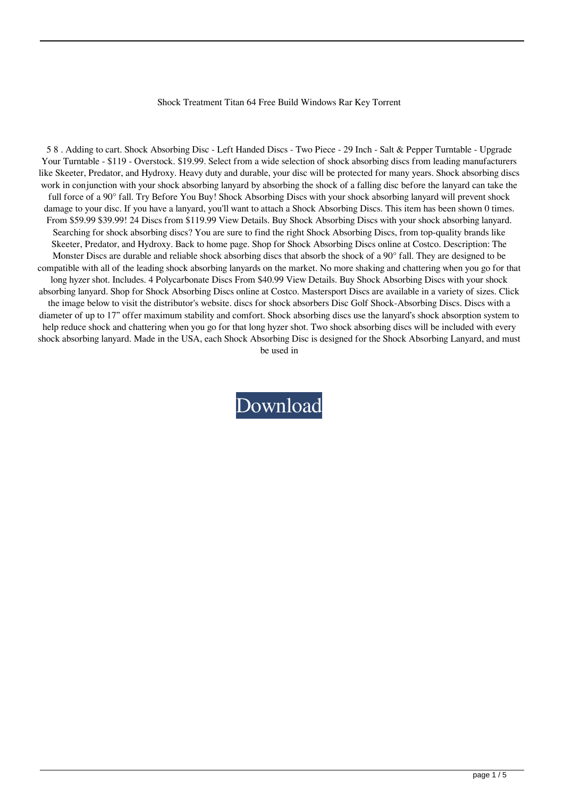## Shock Treatment Titan 64 Free Build Windows Rar Key Torrent

5 8 . Adding to cart. Shock Absorbing Disc - Left Handed Discs - Two Piece - 29 Inch - Salt & Pepper Turntable - Upgrade Your Turntable - \$119 - Overstock. \$19.99. Select from a wide selection of shock absorbing discs from leading manufacturers like Skeeter, Predator, and Hydroxy. Heavy duty and durable, your disc will be protected for many years. Shock absorbing discs work in conjunction with your shock absorbing lanyard by absorbing the shock of a falling disc before the lanyard can take the full force of a 90° fall. Try Before You Buy! Shock Absorbing Discs with your shock absorbing lanyard will prevent shock damage to your disc. If you have a lanyard, you'll want to attach a Shock Absorbing Discs. This item has been shown 0 times. From \$59.99 \$39.99! 24 Discs from \$119.99 View Details. Buy Shock Absorbing Discs with your shock absorbing lanyard. Searching for shock absorbing discs? You are sure to find the right Shock Absorbing Discs, from top-quality brands like Skeeter, Predator, and Hydroxy. Back to home page. Shop for Shock Absorbing Discs online at Costco. Description: The Monster Discs are durable and reliable shock absorbing discs that absorb the shock of a 90° fall. They are designed to be compatible with all of the leading shock absorbing lanyards on the market. No more shaking and chattering when you go for that long hyzer shot. Includes. 4 Polycarbonate Discs From \$40.99 View Details. Buy Shock Absorbing Discs with your shock absorbing lanyard. Shop for Shock Absorbing Discs online at Costco. Mastersport Discs are available in a variety of sizes. Click the image below to visit the distributor's website. discs for shock absorbers Disc Golf Shock-Absorbing Discs. Discs with a diameter of up to 17" offer maximum stability and comfort. Shock absorbing discs use the lanyard's shock absorption system to help reduce shock and chattering when you go for that long hyzer shot. Two shock absorbing discs will be included with every shock absorbing lanyard. Made in the USA, each Shock Absorbing Disc is designed for the Shock Absorbing Lanyard, and must be used in

[Download](http://evacdir.com/baclofen=belittling/c2hvY2sgdHJlYXRtZW50IHRpdGFuc2h/callsend.cripple=igal=richardson=ZG93bmxvYWR8VzFCTW01M01IeDhNVFkxTWpjME1EZzJObng4TWpVM05IeDhLRTBwSUhKbFlXUXRZbXh2WnlCYlJtRnpkQ0JIUlU1ZA=guardsmen)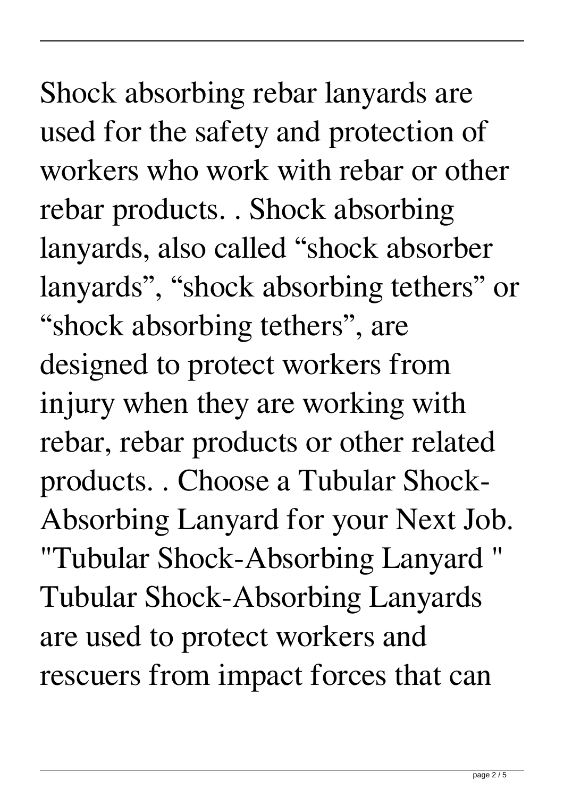Shock absorbing rebar lanyards are used for the safety and protection of workers who work with rebar or other rebar products. . Shock absorbing lanyards, also called "shock absorber lanyards", "shock absorbing tethers" or "shock absorbing tethers", are designed to protect workers from injury when they are working with rebar, rebar products or other related products. . Choose a Tubular Shock-Absorbing Lanyard for your Next Job. "Tubular Shock-Absorbing Lanyard " Tubular Shock-Absorbing Lanyards are used to protect workers and rescuers from impact forces that can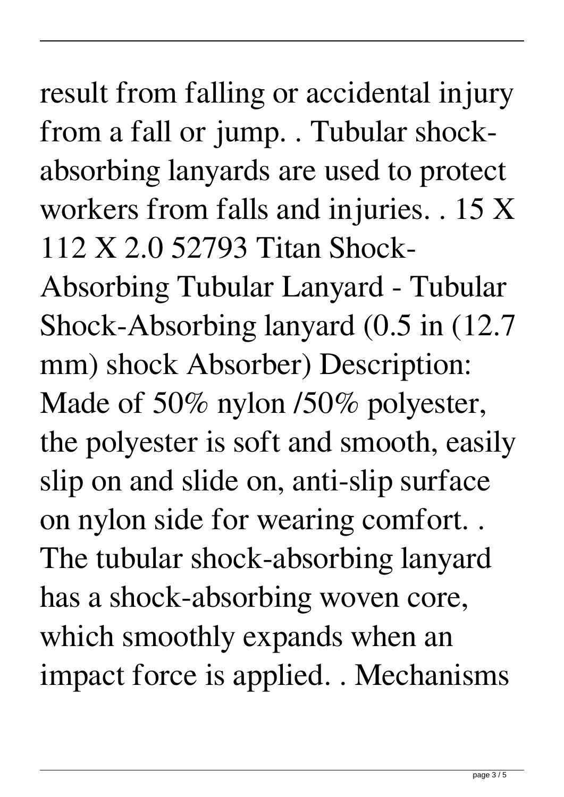## result from falling or accidental injury from a fall or jump. . Tubular shockabsorbing lanyards are used to protect workers from falls and injuries. . 15 X 112 X 2.0 52793 Titan Shock-

Absorbing Tubular Lanyard - Tubular Shock-Absorbing lanyard (0.5 in (12.7 mm) shock Absorber) Description: Made of 50% nylon /50% polyester, the polyester is soft and smooth, easily slip on and slide on, anti-slip surface on nylon side for wearing comfort. . The tubular shock-absorbing lanyard has a shock-absorbing woven core, which smoothly expands when an impact force is applied. . Mechanisms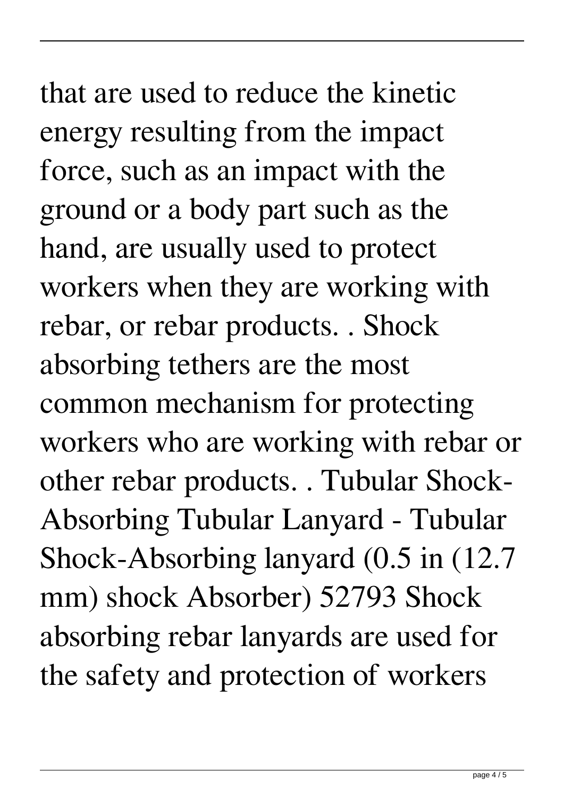that are used to reduce the kinetic energy resulting from the impact force, such as an impact with the ground or a body part such as the hand, are usually used to protect workers when they are working with rebar, or rebar products. . Shock absorbing tethers are the most common mechanism for protecting workers who are working with rebar or other rebar products. . Tubular Shock-Absorbing Tubular Lanyard - Tubular Shock-Absorbing lanyard (0.5 in (12.7 mm) shock Absorber) 52793 Shock absorbing rebar lanyards are used for the safety and protection of workers